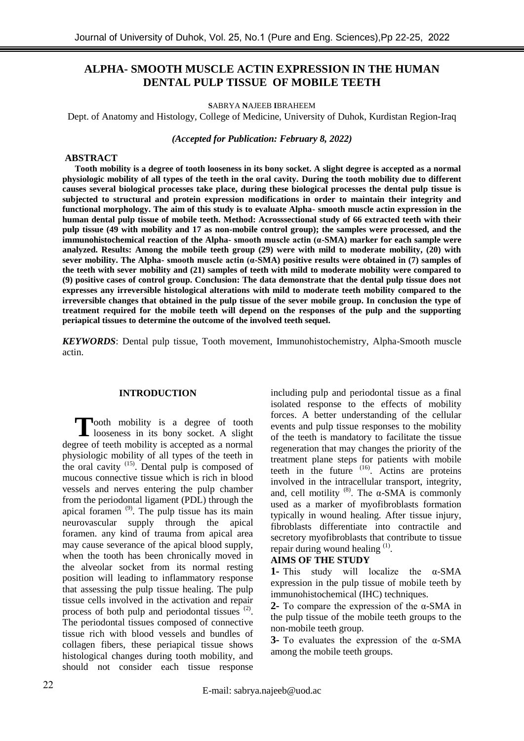# **ALPHA- SMOOTH MUSCLE ACTIN EXPRESSION IN THE HUMAN DENTAL PULP TISSUE OF MOBILE TEETH**

**S**ABRYA **N**AJEEB **I**BRAHEEM

Dept. of Anatomy and Histology, College of Medicine, University of Duhok, Kurdistan Region-Iraq

*(Accepted for Publication: February 8, 2022)*

### **ABSTRACT**

**Tooth mobility is a degree of tooth looseness in its bony socket. A slight degree is accepted as a normal physiologic mobility of all types of the teeth in the oral cavity. During the tooth mobility due to different causes several biological processes take place, during these biological processes the dental pulp tissue is subjected to structural and protein expression modifications in order to maintain their integrity and functional morphology. The aim of this study is to evaluate Alpha- smooth muscle actin expression in the human dental pulp tissue of mobile teeth. Method: Acrosssectional study of 66 extracted teeth with their pulp tissue (49 with mobility and 17 as non-mobile control group); the samples were processed, and the immunohistochemical reaction of the Alpha- smooth muscle actin (α-SMA) marker for each sample were analyzed. Results: Among the mobile teeth group (29) were with mild to moderate mobility, (20) with sever mobility. The Alpha- smooth muscle actin (α-SMA) positive results were obtained in (7) samples of the teeth with sever mobility and (21) samples of teeth with mild to moderate mobility were compared to (9) positive cases of control group. Conclusion: The data demonstrate that the dental pulp tissue does not expresses any irreversible histological alterations with mild to moderate teeth mobility compared to the irreversible changes that obtained in the pulp tissue of the sever mobile group. In conclusion the type of treatment required for the mobile teeth will depend on the responses of the pulp and the supporting periapical tissues to determine the outcome of the involved teeth sequel.** 

*KEYWORDS*: Dental pulp tissue, Tooth movement, Immunohistochemistry, Alpha-Smooth muscle actin.

### **INTRODUCTION**

Tooth mobility is a degree of tooth looseness in its bony socket. A slight looseness in its bony socket. A slight degree of teeth mobility is accepted as a normal physiologic mobility of all types of the teeth in the oral cavity (15). Dental pulp is composed of mucous connective tissue which is rich in blood vessels and nerves entering the pulp chamber from the periodontal ligament (PDL) through the apical foramen (9). The pulp tissue has its main neurovascular supply through the apical foramen. any kind of trauma from apical area may cause severance of the apical blood supply, when the tooth has been chronically moved in the alveolar socket from its normal resting position will leading to inflammatory response that assessing the pulp tissue healing. The pulp tissue cells involved in the activation and repair process of both pulp and periodontal tissues  $(2)$ . The periodontal tissues composed of connective tissue rich with blood vessels and bundles of collagen fibers, these periapical tissue shows histological changes during tooth mobility, and should not consider each tissue response

including pulp and periodontal tissue as a final isolated response to the effects of mobility forces. A better understanding of the cellular events and pulp tissue responses to the mobility of the teeth is mandatory to facilitate the tissue regeneration that may changes the priority of the treatment plane steps for patients with mobile teeth in the future  $(16)$ . Actins are proteins involved in the intracellular transport, integrity, and, cell motility  $(8)$ . The  $\alpha$ -SMA is commonly used as a marker of myofibroblasts formation typically in wound healing. After tissue injury, fibroblasts differentiate into contractile and secretory myofibroblasts that contribute to tissue repair during wound healing  $<sup>(1)</sup>$ .</sup>

### **AIMS OF THE STUDY**

**1-** This study will localize the α-SMA expression in the pulp tissue of mobile teeth by immunohistochemical (IHC) techniques.

**2-** To compare the expression of the α-SMA in the pulp tissue of the mobile teeth groups to the non-mobile teeth group.

**3-** To evaluates the expression of the α-SMA among the mobile teeth groups.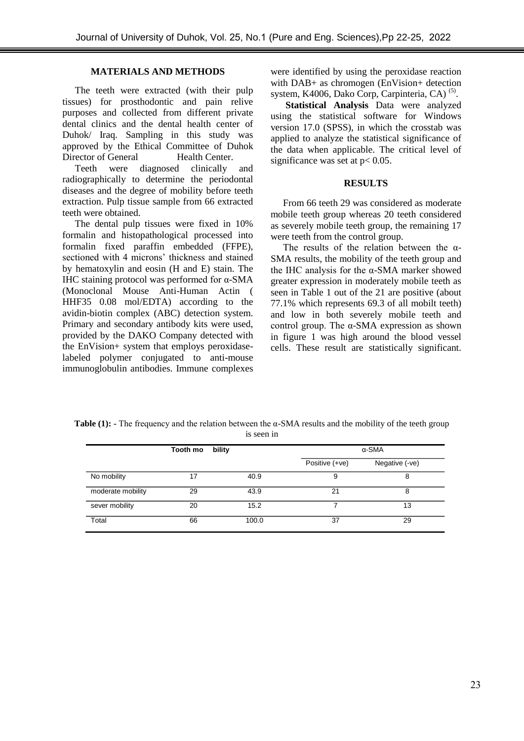# **MATERIALS AND METHODS**

The teeth were extracted (with their pulp tissues) for prosthodontic and pain relive purposes and collected from different private dental clinics and the dental health center of Duhok/ Iraq. Sampling in this study was approved by the Ethical Committee of Duhok Director of General Health Center.

Teeth were diagnosed clinically and radiographically to determine the periodontal diseases and the degree of mobility before teeth extraction. Pulp tissue sample from 66 extracted teeth were obtained.

The dental pulp tissues were fixed in 10% formalin and histopathological processed into formalin fixed paraffin embedded (FFPE), sectioned with 4 microns' thickness and stained by hematoxylin and eosin (H and E) stain. The IHC staining protocol was performed for α-SMA (Monoclonal Mouse Anti-Human Actin ( HHF35 0.08 mol/EDTA) according to the avidin-biotin complex (ABC) detection system. Primary and secondary antibody kits were used, provided by the DAKO Company detected with the EnVision+ system that employs peroxidaselabeled polymer conjugated to anti-mouse immunoglobulin antibodies. Immune complexes

were identified by using the peroxidase reaction with DAB+ as chromogen (EnVision+ detection system, K4006, Dako Corp, Carpinteria, CA)<sup>(5)</sup>.

**Statistical Analysis** Data were analyzed using the statistical software for Windows version 17.0 (SPSS), in which the crosstab was applied to analyze the statistical significance of the data when applicable. The critical level of significance was set at  $p < 0.05$ .

### **RESULTS**

From 66 teeth 29 was considered as moderate mobile teeth group whereas 20 teeth considered as severely mobile teeth group, the remaining 17 were teeth from the control group.

The results of the relation between the  $\alpha$ -SMA results, the mobility of the teeth group and the IHC analysis for the α-SMA marker showed greater expression in moderately mobile teeth as seen in Table 1 out of the 21 are positive (about 77.1% which represents 69.3 of all mobilt teeth) and low in both severely mobile teeth and control group. The α-SMA expression as shown in figure 1 was high around the blood vessel cells. These result are statistically significant.

**Table (1): -** The frequency and the relation between the α-SMA results and the mobility of the teeth group is seen in

|                   | Tooth mo | bility | $\alpha$ -SMA  |                |
|-------------------|----------|--------|----------------|----------------|
|                   |          |        | Positive (+ve) | Negative (-ve) |
| No mobility       | 17       | 40.9   | 9              | 8              |
| moderate mobility | 29       | 43.9   | 21             | 8              |
| sever mobility    | 20       | 15.2   |                | 13             |
| Total             | 66       | 100.0  | 37             | 29             |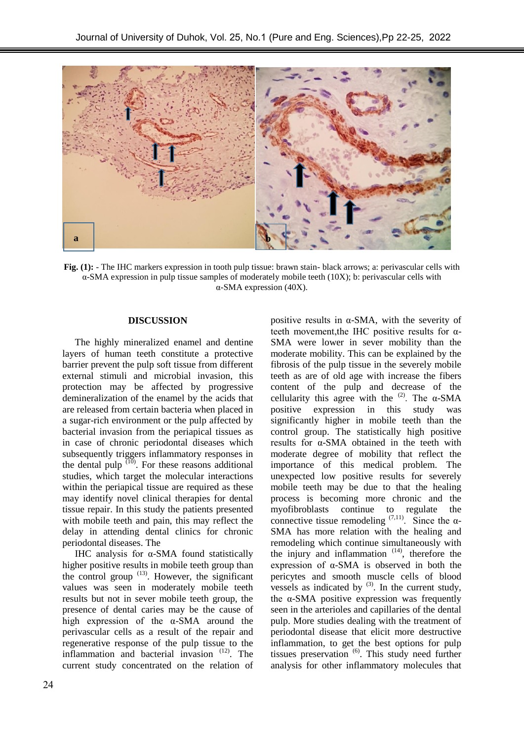

**Fig. (1):** - The IHC markers expression in tooth pulp tissue: brawn stain- black arrows; a: perivascular cells with α-SMA expression in pulp tissue samples of moderately mobile teeth (10X); b: perivascular cells with α-SMA expression (40X).

### **DISCUSSION**

The highly mineralized enamel and dentine layers of human teeth constitute a protective barrier prevent the pulp soft tissue from different external stimuli and microbial invasion, this protection may be affected by progressive demineralization of the enamel by the acids that are released from certain bacteria when placed in a sugar-rich environment or the pulp affected by bacterial invasion from the periapical tissues as in case of chronic periodontal diseases which subsequently triggers inflammatory responses in the dental pulp  $(10)$ . For these reasons additional studies, which target the molecular interactions within the periapical tissue are required as these may identify novel clinical therapies for dental tissue repair. In this study the patients presented with mobile teeth and pain, this may reflect the delay in attending dental clinics for chronic periodontal diseases. The

IHC analysis for α-SMA found statistically higher positive results in mobile teeth group than the control group  $(13)$ . However, the significant values was seen in moderately mobile teeth results but not in sever mobile teeth group, the presence of dental caries may be the cause of high expression of the α-SMA around the perivascular cells as a result of the repair and regenerative response of the pulp tissue to the inflammation and bacterial invasion  $(12)$ . The current study concentrated on the relation of

positive results in α-SMA, with the severity of teeth movement,the IHC positive results for α-SMA were lower in sever mobility than the moderate mobility. This can be explained by the fibrosis of the pulp tissue in the severely mobile teeth as are of old age with increase the fibers content of the pulp and decrease of the cellularity this agree with the  $(2)$ . The  $\alpha$ -SMA positive expression in this study was significantly higher in mobile teeth than the control group. The statistically high positive results for α-SMA obtained in the teeth with moderate degree of mobility that reflect the importance of this medical problem. The unexpected low positive results for severely mobile teeth may be due to that the healing process is becoming more chronic and the myofibroblasts continue to regulate the connective tissue remodeling  $(7,11)$ . Since the  $\alpha$ -SMA has more relation with the healing and remodeling which continue simultaneously with the injury and inflammation  $(14)$ , therefore the expression of α-SMA is observed in both the pericytes and smooth muscle cells of blood vessels as indicated by  $(3)$ . In the current study, the  $\alpha$ -SMA positive expression was frequently seen in the arterioles and capillaries of the dental pulp. More studies dealing with the treatment of periodontal disease that elicit more destructive inflammation, to get the best options for pulp tissues preservation<sup>(6)</sup>. This study need further analysis for other inflammatory molecules that